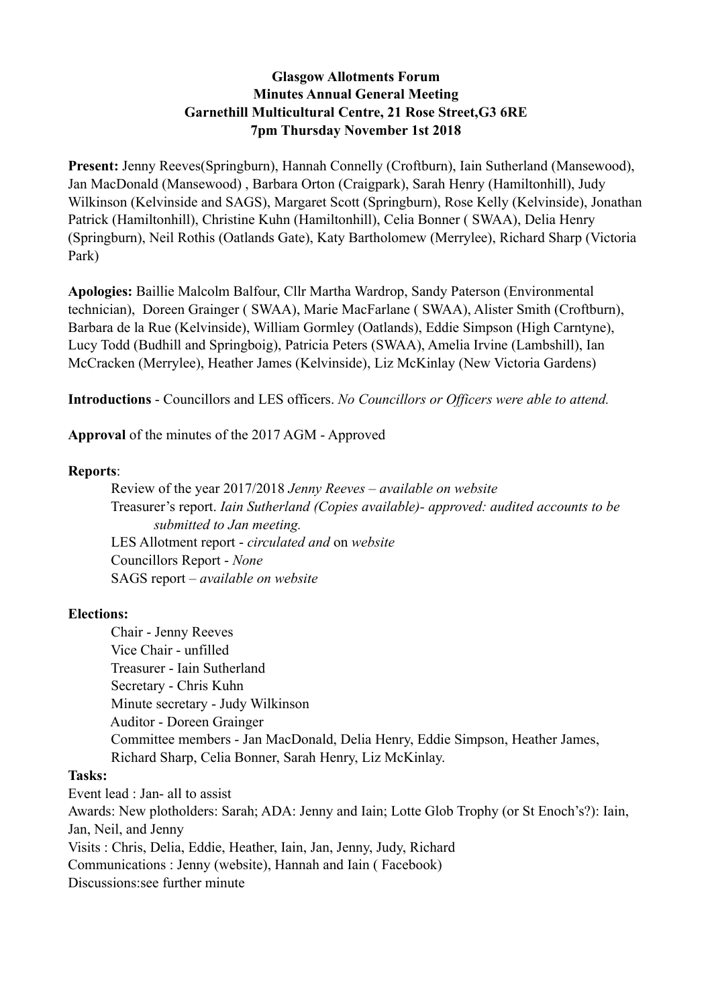# **Glasgow Allotments Forum Minutes Annual General Meeting Garnethill Multicultural Centre, 21 Rose Street,G3 6RE 7pm Thursday November 1st 2018**

Present: Jenny Reeves(Springburn), Hannah Connelly (Croftburn), Iain Sutherland (Mansewood), Jan MacDonald (Mansewood) , Barbara Orton (Craigpark), Sarah Henry (Hamiltonhill), Judy Wilkinson (Kelvinside and SAGS), Margaret Scott (Springburn), Rose Kelly (Kelvinside), Jonathan Patrick (Hamiltonhill), Christine Kuhn (Hamiltonhill), Celia Bonner ( SWAA), Delia Henry (Springburn), Neil Rothis (Oatlands Gate), Katy Bartholomew (Merrylee), Richard Sharp (Victoria Park)

**Apologies:** Baillie Malcolm Balfour, Cllr Martha Wardrop, Sandy Paterson (Environmental technician), Doreen Grainger ( SWAA), Marie MacFarlane ( SWAA), Alister Smith (Croftburn), Barbara de la Rue (Kelvinside), William Gormley (Oatlands), Eddie Simpson (High Carntyne), Lucy Todd (Budhill and Springboig), Patricia Peters (SWAA), Amelia Irvine (Lambshill), Ian McCracken (Merrylee), Heather James (Kelvinside), Liz McKinlay (New Victoria Gardens)

**Introductions** - Councillors and LES officers. *No Councillors or Officers were able to attend.* 

**Approval** of the minutes of the 2017 AGM - Approved

## **Reports**:

 Review of the year 2017/2018 *Jenny Reeves – available on website* Treasurer's report. *Iain Sutherland (Copies available)- approved: audited accounts to be submitted to Jan meeting.*  LES Allotment report - *circulated and* on *website* Councillors Report - *None*  SAGS report – *available on website*

## **Elections:**

 Chair - Jenny Reeves Vice Chair - unfilled Treasurer - Iain Sutherland Secretary - Chris Kuhn Minute secretary - Judy Wilkinson Auditor - Doreen Grainger Committee members - Jan MacDonald, Delia Henry, Eddie Simpson, Heather James, Richard Sharp, Celia Bonner, Sarah Henry, Liz McKinlay.

#### **Tasks:**

Event lead : Jan- all to assist Awards: New plotholders: Sarah; ADA: Jenny and Iain; Lotte Glob Trophy (or St Enoch's?): Iain, Jan, Neil, and Jenny Visits : Chris, Delia, Eddie, Heather, Iain, Jan, Jenny, Judy, Richard Communications : Jenny (website), Hannah and Iain ( Facebook) Discussions:see further minute